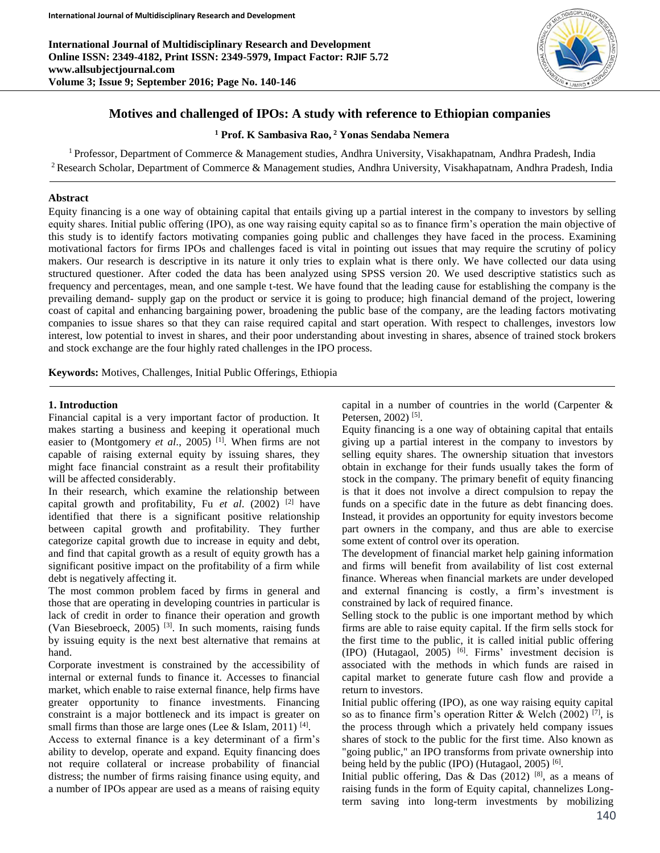**International Journal of Multidisciplinary Research and Development Online ISSN: 2349-4182, Print ISSN: 2349-5979, Impact Factor: RJIF 5.72 www.allsubjectjournal.com Volume 3; Issue 9; September 2016; Page No. 140-146**



# **Motives and challenged of IPOs: A study with reference to Ethiopian companies**

**<sup>1</sup> Prof. K Sambasiva Rao, <sup>2</sup> Yonas Sendaba Nemera**

<sup>1</sup> Professor, Department of Commerce & Management studies, Andhra University, Visakhapatnam, Andhra Pradesh, India <sup>2</sup> Research Scholar, Department of Commerce & Management studies, Andhra University, Visakhapatnam, Andhra Pradesh, India

#### **Abstract**

Equity financing is a one way of obtaining capital that entails giving up a partial interest in the company to investors by selling equity shares. Initial public offering (IPO), as one way raising equity capital so as to finance firm's operation the main objective of this study is to identify factors motivating companies going public and challenges they have faced in the process. Examining motivational factors for firms IPOs and challenges faced is vital in pointing out issues that may require the scrutiny of policy makers. Our research is descriptive in its nature it only tries to explain what is there only. We have collected our data using structured questioner. After coded the data has been analyzed using SPSS version 20. We used descriptive statistics such as frequency and percentages, mean, and one sample t-test. We have found that the leading cause for establishing the company is the prevailing demand- supply gap on the product or service it is going to produce; high financial demand of the project, lowering coast of capital and enhancing bargaining power, broadening the public base of the company, are the leading factors motivating companies to issue shares so that they can raise required capital and start operation. With respect to challenges, investors low interest, low potential to invest in shares, and their poor understanding about investing in shares, absence of trained stock brokers and stock exchange are the four highly rated challenges in the IPO process.

**Keywords:** Motives, Challenges, Initial Public Offerings, Ethiopia

#### **1. Introduction**

Financial capital is a very important factor of production. It makes starting a business and keeping it operational much easier to (Montgomery *et al*., 2005) [1]. When firms are not capable of raising external equity by issuing shares, they might face financial constraint as a result their profitability will be affected considerably.

In their research, which examine the relationship between capital growth and profitability, Fu *et al*. (2002) [2] have identified that there is a significant positive relationship between capital growth and profitability. They further categorize capital growth due to increase in equity and debt, and find that capital growth as a result of equity growth has a significant positive impact on the profitability of a firm while debt is negatively affecting it.

The most common problem faced by firms in general and those that are operating in developing countries in particular is lack of credit in order to finance their operation and growth (Van Biesebroeck, 2005) [3]. In such moments, raising funds by issuing equity is the next best alternative that remains at hand.

Corporate investment is constrained by the accessibility of internal or external funds to finance it. Accesses to financial market, which enable to raise external finance, help firms have greater opportunity to finance investments. Financing constraint is a major bottleneck and its impact is greater on small firms than those are large ones (Lee & Islam, 2011)  $[4]$ .

Access to external finance is a key determinant of a firm's ability to develop, operate and expand. Equity financing does not require collateral or increase probability of financial distress; the number of firms raising finance using equity, and a number of IPOs appear are used as a means of raising equity capital in a number of countries in the world (Carpenter & Petersen, 2002)<sup>[5]</sup>.

Equity financing is a one way of obtaining capital that entails giving up a partial interest in the company to investors by selling equity shares. The ownership situation that investors obtain in exchange for their funds usually takes the form of stock in the company. The primary benefit of equity financing is that it does not involve a direct compulsion to repay the funds on a specific date in the future as debt financing does. Instead, it provides an opportunity for equity investors become part owners in the company, and thus are able to exercise some extent of control over its operation.

The development of financial market help gaining information and firms will benefit from availability of list cost external finance. Whereas when financial markets are under developed and external financing is costly, a firm's investment is constrained by lack of required finance.

Selling stock to the public is one important method by which firms are able to raise equity capital. If the firm sells stock for the first time to the public, it is called initial public offering  $(IPO)$  (Hutagaol, 2005) <sup>[6]</sup>. Firms' investment decision is associated with the methods in which funds are raised in capital market to generate future cash flow and provide a return to investors.

Initial public offering (IPO), as one way raising equity capital so as to finance firm's operation Ritter & Welch (2002) <sup>[7]</sup>, is the process through which a privately held company issues shares of stock to the public for the first time. Also known as "going public," an IPO transforms from private ownership into being held by the public (IPO) (Hutagaol, 2005)  $[6]$ .

Initial public offering, Das & Das (2012) [8], as a means of raising funds in the form of Equity capital, channelizes Longterm saving into long-term investments by mobilizing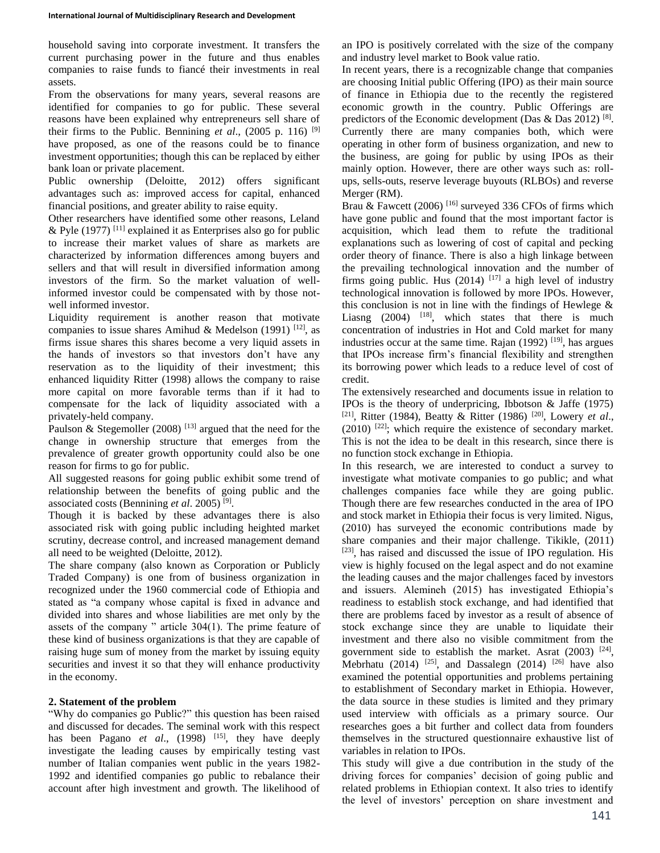household saving into corporate investment. It transfers the current purchasing power in the future and thus enables companies to raise funds to fiancé their investments in real assets.

From the observations for many years, several reasons are identified for companies to go for public. These several reasons have been explained why entrepreneurs sell share of their firms to the Public. Bennining *et al.*, (2005 p. 116) <sup>[9]</sup> have proposed, as one of the reasons could be to finance investment opportunities; though this can be replaced by either bank loan or private placement.

Public ownership (Deloitte, 2012) offers significant advantages such as: improved access for capital, enhanced financial positions, and greater ability to raise equity.

Other researchers have identified some other reasons, Leland & Pyle (1977)  $^{[11]}$  explained it as Enterprises also go for public to increase their market values of share as markets are characterized by information differences among buyers and sellers and that will result in diversified information among investors of the firm. So the market valuation of wellinformed investor could be compensated with by those notwell informed investor.

Liquidity requirement is another reason that motivate companies to issue shares Amihud & Medelson (1991)  $[12]$ , as firms issue shares this shares become a very liquid assets in the hands of investors so that investors don't have any reservation as to the liquidity of their investment; this enhanced liquidity Ritter (1998) allows the company to raise more capital on more favorable terms than if it had to compensate for the lack of liquidity associated with a privately-held company.

Paulson & Stegemoller (2008)  $^{[13]}$  argued that the need for the change in ownership structure that emerges from the prevalence of greater growth opportunity could also be one reason for firms to go for public.

All suggested reasons for going public exhibit some trend of relationship between the benefits of going public and the associated costs (Bennining *et al*. 2005) [9] .

Though it is backed by these advantages there is also associated risk with going public including heighted market scrutiny, decrease control, and increased management demand all need to be weighted (Deloitte, 2012).

The share company (also known as Corporation or Publicly Traded Company) is one from of business organization in recognized under the 1960 commercial code of Ethiopia and stated as "a company whose capital is fixed in advance and divided into shares and whose liabilities are met only by the assets of the company " article 304(1). The prime feature of these kind of business organizations is that they are capable of raising huge sum of money from the market by issuing equity securities and invest it so that they will enhance productivity in the economy.

# **2. Statement of the problem**

"Why do companies go Public?" this question has been raised and discussed for decades. The seminal work with this respect has been Pagano *et al.*, (1998) <sup>[15]</sup>, they have deeply investigate the leading causes by empirically testing vast number of Italian companies went public in the years 1982- 1992 and identified companies go public to rebalance their account after high investment and growth. The likelihood of an IPO is positively correlated with the size of the company and industry level market to Book value ratio.

In recent years, there is a recognizable change that companies are choosing Initial public Offering (IPO) as their main source of finance in Ethiopia due to the recently the registered economic growth in the country. Public Offerings are predictors of the Economic development (Das & Das 2012)  $[8]$ . Currently there are many companies both, which were operating in other form of business organization, and new to the business, are going for public by using IPOs as their mainly option. However, there are other ways such as: rollups, sells-outs, reserve leverage buyouts (RLBOs) and reverse Merger (RM).

Brau & Fawcett (2006)  $^{[16]}$  surveyed 336 CFOs of firms which have gone public and found that the most important factor is acquisition, which lead them to refute the traditional explanations such as lowering of cost of capital and pecking order theory of finance. There is also a high linkage between the prevailing technological innovation and the number of firms going public. Hus  $(2014)$  <sup>[17]</sup> a high level of industry technological innovation is followed by more IPOs. However, this conclusion is not in line with the findings of Hewlege  $\&$ Liasng  $(2004)$  <sup>[18]</sup>, which states that there is much concentration of industries in Hot and Cold market for many industries occur at the same time. Rajan  $(1992)$  <sup>[19]</sup>, has argues that IPOs increase firm's financial flexibility and strengthen its borrowing power which leads to a reduce level of cost of credit.

The extensively researched and documents issue in relation to IPOs is the theory of underpricing, Ibbotson & Jaffe (1975) [21], Ritter (1984), Beatty & Ritter (1986) [20], Lowery *et al*.,  $(2010)$  <sup>[22]</sup>; which require the existence of secondary market. This is not the idea to be dealt in this research, since there is no function stock exchange in Ethiopia.

In this research, we are interested to conduct a survey to investigate what motivate companies to go public; and what challenges companies face while they are going public. Though there are few researches conducted in the area of IPO and stock market in Ethiopia their focus is very limited. Nigus, (2010) has surveyed the economic contributions made by share companies and their major challenge. Tikikle, (2011) [23], has raised and discussed the issue of IPO regulation. His view is highly focused on the legal aspect and do not examine the leading causes and the major challenges faced by investors and issuers. Alemineh (2015) has investigated Ethiopia's readiness to establish stock exchange, and had identified that there are problems faced by investor as a result of absence of stock exchange since they are unable to liquidate their investment and there also no visible commitment from the government side to establish the market. Asrat  $(2003)$ <sup>[24]</sup>, Mebrhatu (2014) <sup>[25]</sup>, and Dassalegn (2014) <sup>[26]</sup> have also examined the potential opportunities and problems pertaining to establishment of Secondary market in Ethiopia. However, the data source in these studies is limited and they primary used interview with officials as a primary source. Our researches goes a bit further and collect data from founders themselves in the structured questionnaire exhaustive list of variables in relation to IPOs.

This study will give a due contribution in the study of the driving forces for companies' decision of going public and related problems in Ethiopian context. It also tries to identify the level of investors' perception on share investment and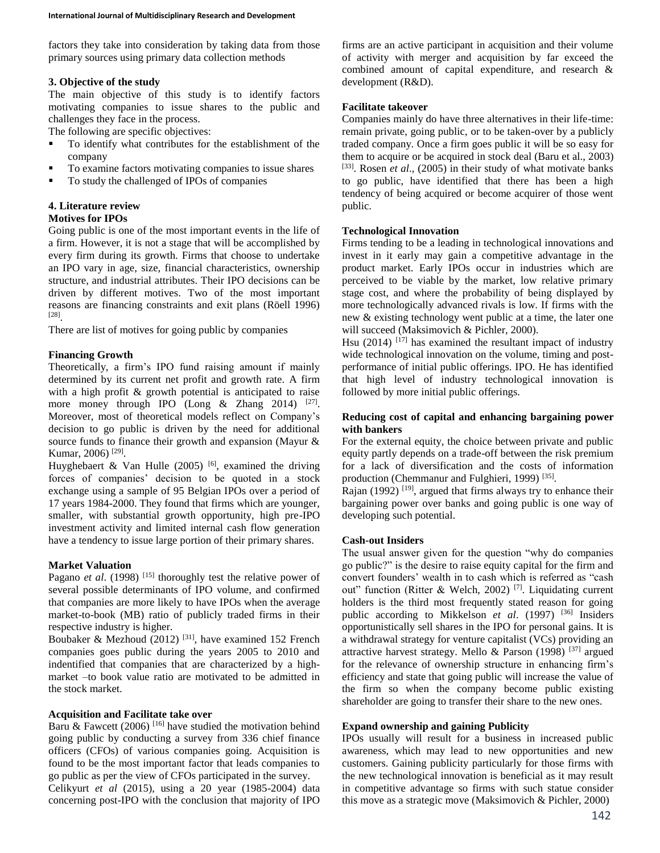factors they take into consideration by taking data from those primary sources using primary data collection methods

# **3. Objective of the study**

The main objective of this study is to identify factors motivating companies to issue shares to the public and challenges they face in the process.

The following are specific objectives:

- To identify what contributes for the establishment of the company
- To examine factors motivating companies to issue shares
- To study the challenged of IPOs of companies

#### **4. Literature review Motives for IPOs**

Going public is one of the most important events in the life of a firm. However, it is not a stage that will be accomplished by every firm during its growth. Firms that choose to undertake an IPO vary in age, size, financial characteristics, ownership structure, and industrial attributes. Their IPO decisions can be driven by different motives. Two of the most important reasons are financing constraints and exit plans (Röell 1996) [28] .

There are list of motives for going public by companies

# **Financing Growth**

Theoretically, a firm's IPO fund raising amount if mainly determined by its current net profit and growth rate. A firm with a high profit & growth potential is anticipated to raise more money through IPO (Long  $\&$  Zhang 2014) [27]. Moreover, most of theoretical models reflect on Company's decision to go public is driven by the need for additional source funds to finance their growth and expansion (Mayur & Kumar, 2006)<sup>[29]</sup>.

Huyghebaert & Van Hulle (2005) <sup>[6]</sup>, examined the driving forces of companies' decision to be quoted in a stock exchange using a sample of 95 Belgian IPOs over a period of 17 years 1984-2000. They found that firms which are younger, smaller, with substantial growth opportunity, high pre-IPO investment activity and limited internal cash flow generation have a tendency to issue large portion of their primary shares.

#### **Market Valuation**

Pagano *et al.* (1998)<sup>[15]</sup> thoroughly test the relative power of several possible determinants of IPO volume, and confirmed that companies are more likely to have IPOs when the average market-to-book (MB) ratio of publicly traded firms in their respective industry is higher.

Boubaker & Mezhoud (2012) <sup>[31]</sup>, have examined 152 French companies goes public during the years 2005 to 2010 and indentified that companies that are characterized by a highmarket –to book value ratio are motivated to be admitted in the stock market.

### **Acquisition and Facilitate take over**

Baru & Fawcett (2006)<sup>[16]</sup> have studied the motivation behind going public by conducting a survey from 336 chief finance officers (CFOs) of various companies going. Acquisition is found to be the most important factor that leads companies to go public as per the view of CFOs participated in the survey. Celikyurt *et al* (2015), using a 20 year (1985-2004) data concerning post-IPO with the conclusion that majority of IPO

firms are an active participant in acquisition and their volume of activity with merger and acquisition by far exceed the combined amount of capital expenditure, and research & development (R&D).

#### **Facilitate takeover**

Companies mainly do have three alternatives in their life-time: remain private, going public, or to be taken-over by a publicly traded company. Once a firm goes public it will be so easy for them to acquire or be acquired in stock deal (Baru et al., 2003) [33]. Rosen *et al.*, (2005) in their study of what motivate banks to go public, have identified that there has been a high tendency of being acquired or become acquirer of those went public.

# **Technological Innovation**

Firms tending to be a leading in technological innovations and invest in it early may gain a competitive advantage in the product market. Early IPOs occur in industries which are perceived to be viable by the market, low relative primary stage cost, and where the probability of being displayed by more technologically advanced rivals is low. If firms with the new & existing technology went public at a time, the later one will succeed (Maksimovich & Pichler, 2000).

Hsu  $(2014)$ <sup>[17]</sup> has examined the resultant impact of industry wide technological innovation on the volume, timing and postperformance of initial public offerings. IPO. He has identified that high level of industry technological innovation is followed by more initial public offerings.

# **Reducing cost of capital and enhancing bargaining power with bankers**

For the external equity, the choice between private and public equity partly depends on a trade-off between the risk premium for a lack of diversification and the costs of information production (Chemmanur and Fulghieri, 1999)<sup>[35]</sup>.

Rajan (1992)<sup>[19]</sup>, argued that firms always try to enhance their bargaining power over banks and going public is one way of developing such potential.

#### **Cash-out Insiders**

The usual answer given for the question "why do companies go public?" is the desire to raise equity capital for the firm and convert founders' wealth in to cash which is referred as "cash out" function (Ritter & Welch, 2002) [7]. Liquidating current holders is the third most frequently stated reason for going public according to Mikkelson *et al.* (1997) <sup>[36]</sup> Insiders opportunistically sell shares in the IPO for personal gains. It is a withdrawal strategy for venture capitalist (VCs) providing an attractive harvest strategy. Mello & Parson (1998)  $[37]$  argued for the relevance of ownership structure in enhancing firm's efficiency and state that going public will increase the value of the firm so when the company become public existing shareholder are going to transfer their share to the new ones.

#### **Expand ownership and gaining Publicity**

IPOs usually will result for a business in increased public awareness, which may lead to new opportunities and new customers. Gaining publicity particularly for those firms with the new technological innovation is beneficial as it may result in competitive advantage so firms with such statue consider this move as a strategic move (Maksimovich & Pichler, 2000)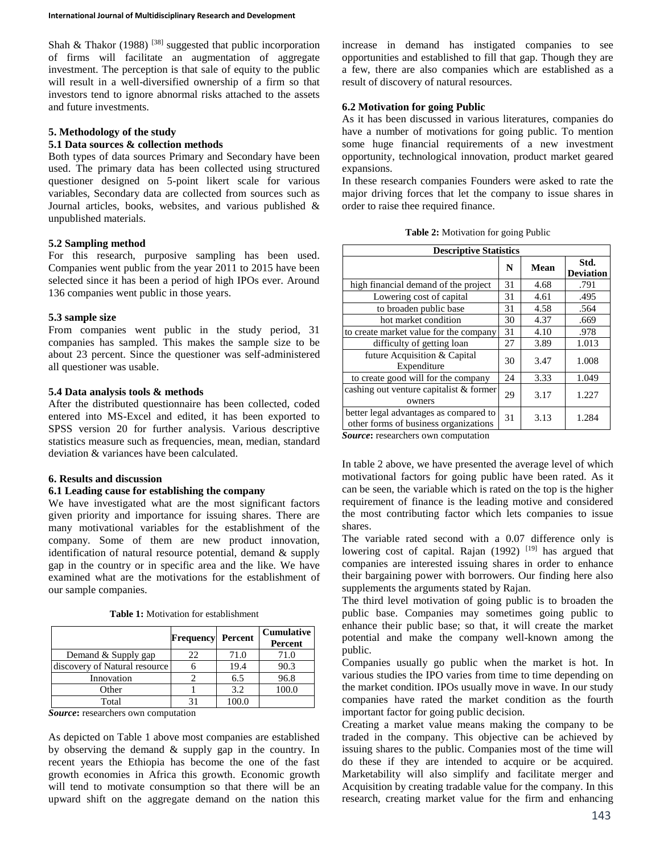Shah & Thakor (1988) <sup>[38]</sup> suggested that public incorporation of firms will facilitate an augmentation of aggregate investment. The perception is that sale of equity to the public will result in a well-diversified ownership of a firm so that investors tend to ignore abnormal risks attached to the assets and future investments.

# **5. Methodology of the study**

### **5.1 Data sources & collection methods**

Both types of data sources Primary and Secondary have been used. The primary data has been collected using structured questioner designed on 5-point likert scale for various variables, Secondary data are collected from sources such as Journal articles, books, websites, and various published & unpublished materials.

#### **5.2 Sampling method**

For this research, purposive sampling has been used. Companies went public from the year 2011 to 2015 have been selected since it has been a period of high IPOs ever. Around 136 companies went public in those years.

#### **5.3 sample size**

From companies went public in the study period, 31 companies has sampled. This makes the sample size to be about 23 percent. Since the questioner was self-administered all questioner was usable.

### **5.4 Data analysis tools & methods**

After the distributed questionnaire has been collected, coded entered into MS-Excel and edited, it has been exported to SPSS version 20 for further analysis. Various descriptive statistics measure such as frequencies, mean, median, standard deviation & variances have been calculated.

#### **6. Results and discussion**

### **6.1 Leading cause for establishing the company**

We have investigated what are the most significant factors given priority and importance for issuing shares. There are many motivational variables for the establishment of the company. Some of them are new product innovation, identification of natural resource potential, demand & supply gap in the country or in specific area and the like. We have examined what are the motivations for the establishment of our sample companies.

| <b>Table 1:</b> Motivation for establishment |  |
|----------------------------------------------|--|
|----------------------------------------------|--|

|                               | <b>Frequency Percent</b> |       | <b>Cumulative</b><br>Percent |
|-------------------------------|--------------------------|-------|------------------------------|
| Demand & Supply gap           | 22                       | 71.0  | 71.0                         |
| discovery of Natural resource |                          | 19.4  | 90.3                         |
| Innovation                    |                          | 6.5   | 96.8                         |
| Other                         |                          | 3.2   | 100.0                        |
| Total                         |                          | 100.0 |                              |

*Source***:** researchers own computation

As depicted on Table 1 above most companies are established by observing the demand & supply gap in the country. In recent years the Ethiopia has become the one of the fast growth economies in Africa this growth. Economic growth will tend to motivate consumption so that there will be an upward shift on the aggregate demand on the nation this increase in demand has instigated companies to see opportunities and established to fill that gap. Though they are a few, there are also companies which are established as a result of discovery of natural resources.

# **6.2 Motivation for going Public**

As it has been discussed in various literatures, companies do have a number of motivations for going public. To mention some huge financial requirements of a new investment opportunity, technological innovation, product market geared expansions.

In these research companies Founders were asked to rate the major driving forces that let the company to issue shares in order to raise thee required finance.

| <b>Descriptive Statistics</b>                                                   |    |      |                          |  |
|---------------------------------------------------------------------------------|----|------|--------------------------|--|
|                                                                                 | N  | Mean | Std.<br><b>Deviation</b> |  |
| high financial demand of the project                                            | 31 | 4.68 | .791                     |  |
| Lowering cost of capital                                                        | 31 | 4.61 | .495                     |  |
| to broaden public base                                                          | 31 | 4.58 | .564                     |  |
| hot market condition                                                            | 30 | 4.37 | .669                     |  |
| to create market value for the company                                          | 31 | 4.10 | .978                     |  |
| difficulty of getting loan                                                      | 27 | 3.89 | 1.013                    |  |
| future Acquisition & Capital<br>Expenditure                                     | 30 | 3.47 | 1.008                    |  |
| to create good will for the company                                             | 24 | 3.33 | 1.049                    |  |
| cashing out venture capitalist & former<br>owners                               | 29 | 3.17 | 1.227                    |  |
| better legal advantages as compared to<br>other forms of business organizations | 31 | 3.13 | 1.284                    |  |

*Source***:** researchers own computation

In table 2 above, we have presented the average level of which motivational factors for going public have been rated. As it can be seen, the variable which is rated on the top is the higher requirement of finance is the leading motive and considered the most contributing factor which lets companies to issue shares.

The variable rated second with a 0.07 difference only is lowering cost of capital. Rajan (1992) <sup>[19]</sup> has argued that companies are interested issuing shares in order to enhance their bargaining power with borrowers. Our finding here also supplements the arguments stated by Rajan.

The third level motivation of going public is to broaden the public base. Companies may sometimes going public to enhance their public base; so that, it will create the market potential and make the company well-known among the public.

Companies usually go public when the market is hot. In various studies the IPO varies from time to time depending on the market condition. IPOs usually move in wave. In our study companies have rated the market condition as the fourth important factor for going public decision.

Creating a market value means making the company to be traded in the company. This objective can be achieved by issuing shares to the public. Companies most of the time will do these if they are intended to acquire or be acquired. Marketability will also simplify and facilitate merger and Acquisition by creating tradable value for the company. In this research, creating market value for the firm and enhancing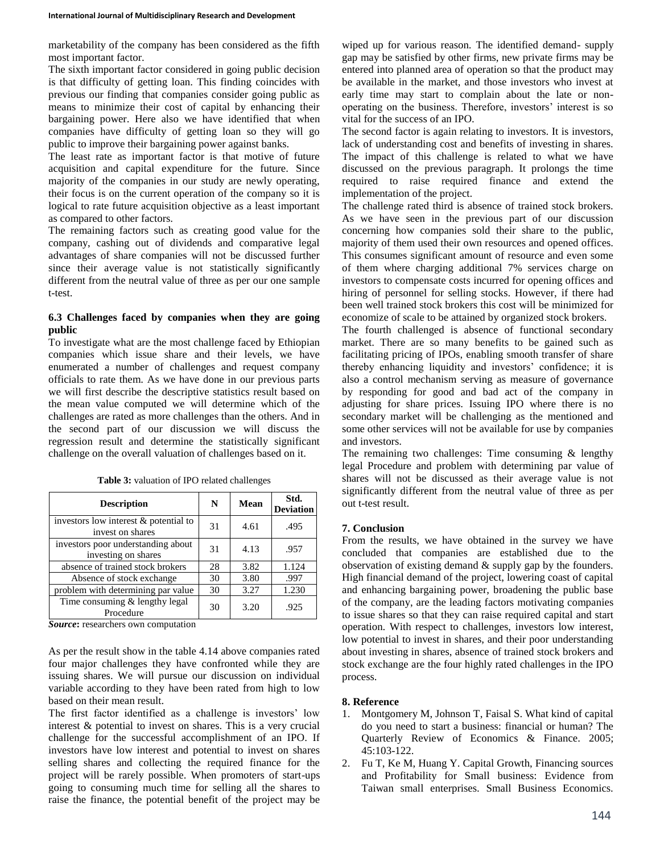marketability of the company has been considered as the fifth most important factor.

The sixth important factor considered in going public decision is that difficulty of getting loan. This finding coincides with previous our finding that companies consider going public as means to minimize their cost of capital by enhancing their bargaining power. Here also we have identified that when companies have difficulty of getting loan so they will go public to improve their bargaining power against banks.

The least rate as important factor is that motive of future acquisition and capital expenditure for the future. Since majority of the companies in our study are newly operating, their focus is on the current operation of the company so it is logical to rate future acquisition objective as a least important as compared to other factors.

The remaining factors such as creating good value for the company, cashing out of dividends and comparative legal advantages of share companies will not be discussed further since their average value is not statistically significantly different from the neutral value of three as per our one sample t-test.

# **6.3 Challenges faced by companies when they are going public**

To investigate what are the most challenge faced by Ethiopian companies which issue share and their levels, we have enumerated a number of challenges and request company officials to rate them. As we have done in our previous parts we will first describe the descriptive statistics result based on the mean value computed we will determine which of the challenges are rated as more challenges than the others. And in the second part of our discussion we will discuss the regression result and determine the statistically significant challenge on the overall valuation of challenges based on it.

| <b>Description</b>                                        | N  | Mean | Std.<br><b>Deviation</b> |
|-----------------------------------------------------------|----|------|--------------------------|
| investors low interest & potential to<br>invest on shares | 31 | 4.61 | .495                     |
| investors poor understanding about<br>investing on shares | 31 | 4.13 | .957                     |
| absence of trained stock brokers                          | 28 | 3.82 | 1.124                    |
| Absence of stock exchange                                 | 30 | 3.80 | .997                     |
| problem with determining par value                        | 30 | 3.27 | 1.230                    |
| Time consuming $&$ lengthy legal<br>Procedure             | 30 | 3.20 | .925                     |

**Table 3:** valuation of IPO related challenges

*Source***:** researchers own computation

As per the result show in the table 4.14 above companies rated four major challenges they have confronted while they are issuing shares. We will pursue our discussion on individual variable according to they have been rated from high to low based on their mean result.

The first factor identified as a challenge is investors' low interest & potential to invest on shares. This is a very crucial challenge for the successful accomplishment of an IPO. If investors have low interest and potential to invest on shares selling shares and collecting the required finance for the project will be rarely possible. When promoters of start-ups going to consuming much time for selling all the shares to raise the finance, the potential benefit of the project may be

wiped up for various reason. The identified demand- supply gap may be satisfied by other firms, new private firms may be entered into planned area of operation so that the product may be available in the market, and those investors who invest at early time may start to complain about the late or nonoperating on the business. Therefore, investors' interest is so vital for the success of an IPO.

The second factor is again relating to investors. It is investors, lack of understanding cost and benefits of investing in shares. The impact of this challenge is related to what we have discussed on the previous paragraph. It prolongs the time required to raise required finance and extend the implementation of the project.

The challenge rated third is absence of trained stock brokers. As we have seen in the previous part of our discussion concerning how companies sold their share to the public, majority of them used their own resources and opened offices. This consumes significant amount of resource and even some of them where charging additional 7% services charge on investors to compensate costs incurred for opening offices and hiring of personnel for selling stocks. However, if there had been well trained stock brokers this cost will be minimized for economize of scale to be attained by organized stock brokers.

The fourth challenged is absence of functional secondary market. There are so many benefits to be gained such as facilitating pricing of IPOs, enabling smooth transfer of share thereby enhancing liquidity and investors' confidence; it is also a control mechanism serving as measure of governance by responding for good and bad act of the company in adjusting for share prices. Issuing IPO where there is no secondary market will be challenging as the mentioned and some other services will not be available for use by companies and investors.

The remaining two challenges: Time consuming & lengthy legal Procedure and problem with determining par value of shares will not be discussed as their average value is not significantly different from the neutral value of three as per out t-test result.

# **7. Conclusion**

From the results, we have obtained in the survey we have concluded that companies are established due to the observation of existing demand & supply gap by the founders. High financial demand of the project, lowering coast of capital and enhancing bargaining power, broadening the public base of the company, are the leading factors motivating companies to issue shares so that they can raise required capital and start operation. With respect to challenges, investors low interest, low potential to invest in shares, and their poor understanding about investing in shares, absence of trained stock brokers and stock exchange are the four highly rated challenges in the IPO process.

# **8. Reference**

- 1. Montgomery M, Johnson T, Faisal S. What kind of capital do you need to start a business: financial or human? The Quarterly Review of Economics & Finance. 2005; 45:103-122.
- 2. Fu T, Ke M, Huang Y. Capital Growth, Financing sources and Profitability for Small business: Evidence from Taiwan small enterprises. Small Business Economics.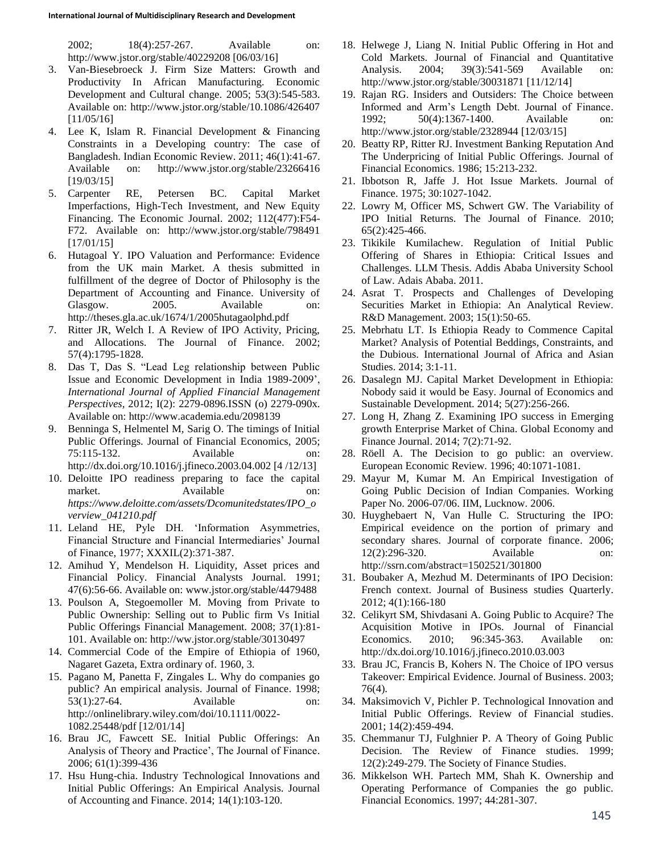2002; 18(4):257-267. Available on: http://www.jstor.org/stable/40229208 [06/03/16]

- 3. Van-Biesebroeck J. Firm Size Matters: Growth and Productivity In African Manufacturing. Economic Development and Cultural change. 2005; 53(3):545-583. Available on: http://www.jstor.org/stable/10.1086/426407 [11/05/16]
- 4. Lee K, Islam R. Financial Development & Financing Constraints in a Developing country: The case of Bangladesh. Indian Economic Review. 2011; 46(1):41-67. Available on: http://www.jstor.org/stable/23266416 [19/03/15]
- 5. Carpenter RE, Petersen BC. Capital Market Imperfactions, High-Tech Investment, and New Equity Financing. The Economic Journal. 2002; 112(477):F54- F72. Available on: http://www.jstor.org/stable/798491 [17/01/15]
- 6. Hutagoal Y. IPO Valuation and Performance: Evidence from the UK main Market. A thesis submitted in fulfillment of the degree of Doctor of Philosophy is the Department of Accounting and Finance. University of Glasgow. 2005. Available on: http://theses.gla.ac.uk/1674/1/2005hutagaolphd.pdf
- 7. Ritter JR, Welch I. A Review of IPO Activity, Pricing, and Allocations. The Journal of Finance. 2002; 57(4):1795-1828.
- 8. Das T, Das S. "Lead Leg relationship between Public Issue and Economic Development in India 1989-2009', *International Journal of Applied Financial Management Perspectives,* 2012; I(2): 2279-0896.ISSN (o) 2279-090x. Available on: http://www.academia.edu/2098139
- 9. Benninga S, Helmentel M, Sarig O. The timings of Initial Public Offerings. Journal of Financial Economics, 2005; 75:115-132. Available on: http://dx.doi.org/10.1016/j.jfineco.2003.04.002 [4 /12/13]
- 10. Deloitte IPO readiness preparing to face the capital market. Available on: *https://www.deloitte.com/assets/Dcomunitedstates/IPO\_o verview\_041210.pdf*
- 11. Leland HE, Pyle DH. 'Information Asymmetries, Financial Structure and Financial Intermediaries' Journal of Finance, 1977; XXXIL(2):371-387.
- 12. Amihud Y, Mendelson H. Liquidity, Asset prices and Financial Policy. Financial Analysts Journal. 1991; 47(6):56-66. Available on: www.jstor.org/stable/4479488
- 13. Poulson A, Stegoemoller M. Moving from Private to Public Ownership: Selling out to Public firm Vs Initial Public Offerings Financial Management. 2008; 37(1):81- 101. Available on: http://ww.jstor.org/stable/30130497
- 14. Commercial Code of the Empire of Ethiopia of 1960, Nagaret Gazeta, Extra ordinary of. 1960, 3.
- 15. Pagano M, Panetta F, Zingales L. Why do companies go public? An empirical analysis. Journal of Finance. 1998; 53(1):27-64. Available on: http://onlinelibrary.wiley.com/doi/10.1111/0022- 1082.25448/pdf [12/01/14]
- 16. Brau JC, Fawcett SE. Initial Public Offerings: An Analysis of Theory and Practice', The Journal of Finance. 2006; 61(1):399-436
- 17. Hsu Hung-chia. Industry Technological Innovations and Initial Public Offerings: An Empirical Analysis. Journal of Accounting and Finance. 2014; 14(1):103-120.
- 18. Helwege J, Liang N. Initial Public Offering in Hot and Cold Markets. Journal of Financial and Quantitative Analysis. 2004; 39(3):541-569 Available on: http://www.jstor.org/stable/30031871 [11/12/14]
- 19. Rajan RG. Insiders and Outsiders: The Choice between Informed and Arm's Length Debt. Journal of Finance. 1992; 50(4):1367-1400. Available on: http://www.jstor.org/stable/2328944 [12/03/15]
- 20. Beatty RP, Ritter RJ. Investment Banking Reputation And The Underpricing of Initial Public Offerings. Journal of Financial Economics. 1986; 15:213-232.
- 21. Ibbotson R, Jaffe J. Hot Issue Markets. Journal of Finance. 1975; 30:1027-1042.
- 22. Lowry M, Officer MS, Schwert GW. The Variability of IPO Initial Returns. The Journal of Finance. 2010; 65(2):425-466.
- 23. Tikikile Kumilachew. Regulation of Initial Public Offering of Shares in Ethiopia: Critical Issues and Challenges. LLM Thesis. Addis Ababa University School of Law. Adais Ababa. 2011.
- 24. Asrat T. Prospects and Challenges of Developing Securities Market in Ethiopia: An Analytical Review. R&D Management. 2003; 15(1):50-65.
- 25. Mebrhatu LT. Is Ethiopia Ready to Commence Capital Market? Analysis of Potential Beddings, Constraints, and the Dubious. International Journal of Africa and Asian Studies. 2014; 3:1-11.
- 26. Dasalegn MJ. Capital Market Development in Ethiopia: Nobody said it would be Easy. Journal of Economics and Sustainable Development. 2014; 5(27):256-266.
- 27. Long H, Zhang Z. Examining IPO success in Emerging growth Enterprise Market of China. Global Economy and Finance Journal. 2014; 7(2):71-92.
- 28. Röell A. The Decision to go public: an overview. European Economic Review. 1996; 40:1071-1081.
- 29. Mayur M, Kumar M. An Empirical Investigation of Going Public Decision of Indian Companies. Working Paper No. 2006-07/06. IIM, Lucknow. 2006.
- 30. Huyghebaert N, Van Hulle C. Structuring the IPO: Empirical eveidence on the portion of primary and secondary shares. Journal of corporate finance. 2006; 12(2):296-320. Available on: http://ssrn.com/abstract=1502521/301800
- 31. Boubaker A, Mezhud M. Determinants of IPO Decision: French context. Journal of Business studies Quarterly. 2012; 4(1):166-180
- 32. Celikyrt SM, Shivdasani A. Going Public to Acquire? The Acquisition Motive in IPOs. Journal of Financial Economics. 2010; 96:345-363. Available on: http://dx.doi.org/10.1016/j.jfineco.2010.03.003
- 33. Brau JC, Francis B, Kohers N. The Choice of IPO versus Takeover: Empirical Evidence. Journal of Business. 2003; 76(4).
- 34. Maksimovich V, Pichler P. Technological Innovation and Initial Public Offerings. Review of Financial studies. 2001; 14(2):459-494.
- 35. Chemmanur TJ, Fulghnier P. A Theory of Going Public Decision. The Review of Finance studies. 1999; 12(2):249-279. The Society of Finance Studies.
- 36. Mikkelson WH. Partech MM, Shah K. Ownership and Operating Performance of Companies the go public. Financial Economics. 1997; 44:281-307.